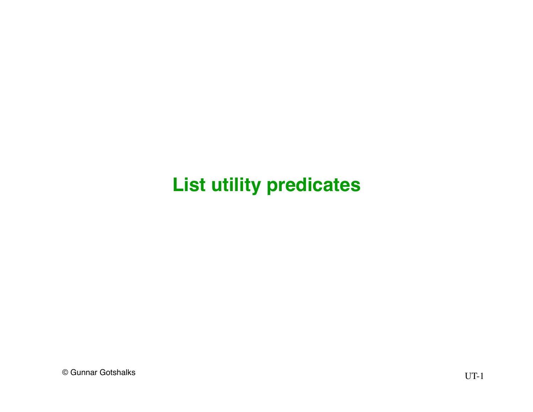#### **List utility predicates**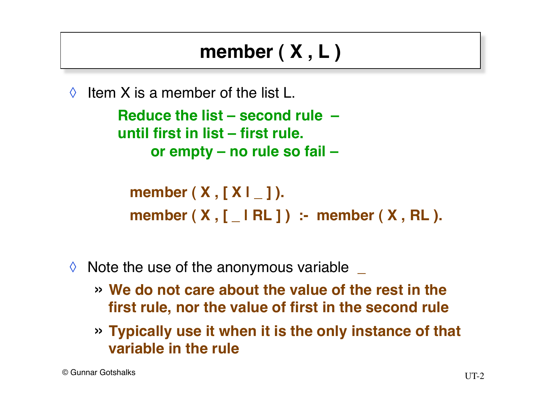### **member ( X , L )**

 $\Diamond$  Item X is a member of the list L.

**Reduce the list – second rule – until first in list – first rule. or empty – no rule so fail –**

**member ( X , [ X | \_ ] ). member ( X , [ \_ | RL ] ) :- member ( X , RL ).**

- ◊ Note the use of the anonymous variable **\_**
	- » **We do not care about the value of the rest in the first rule, nor the value of first in the second rule**
	- » **Typically use it when it is the only instance of that variable in the rule**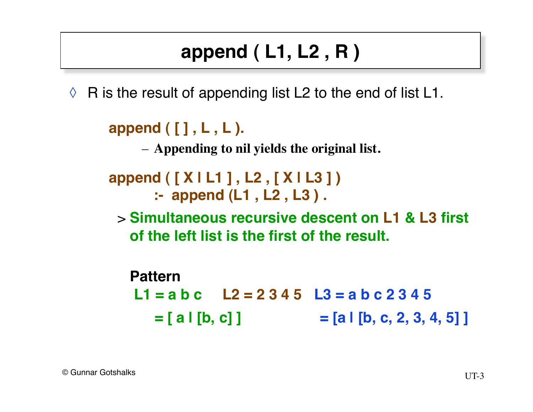# **append ( L1, L2 , R )**

 $\Diamond$  R is the result of appending list L2 to the end of list L1.

```
append ( [ ] , L , L ).
```
– **Appending to nil yields the original list.**

```
append ( [ X | L1 ] , L2 , [ X | L3 ] )
        :- append (L1 , L2 , L3 ) .
```
> **Simultaneous recursive descent on L1 & L3 first of the left list is the first of the result.**

**Pattern L1 = a b c L2 = 2 3 4 5 L3 = a b c 2 3 4 5**  $=$  [ a | [b, c] ]  $=$  [a | [b, c, 2, 3, 4, 5] ]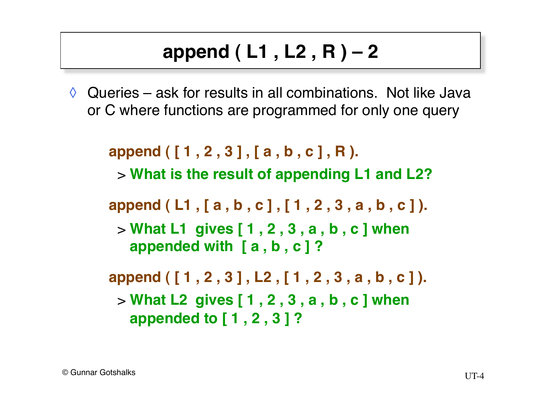# **append ( L1 , L2 , R ) – 2**

 $\Diamond$  Queries – ask for results in all combinations. Not like Java or C where functions are programmed for only one query

**append ( [ 1 , 2 , 3 ] , [ a , b , c ] , R ).**  > **What is the result of appending L1 and L2? append ( L1 , [ a , b , c ] , [ 1 , 2 , 3 , a , b , c ] ).**  > **What L1 gives [ 1 , 2 , 3 , a , b , c ] when appended with [ a , b , c ] ? append ( [ 1 , 2 , 3 ] , L2 , [ 1 , 2 , 3 , a , b , c ] ).**  > **What L2 gives [ 1 , 2 , 3 , a , b , c ] when appended to [ 1 , 2 , 3 ] ?**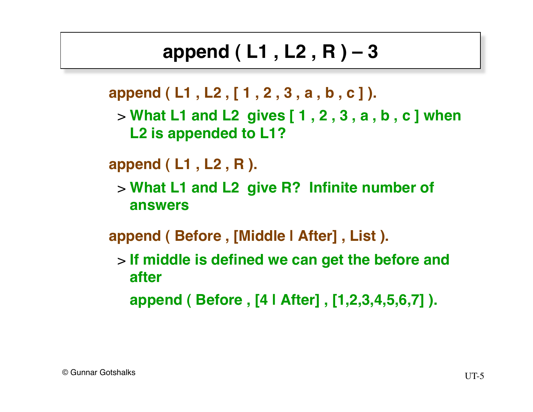### **append ( L1 , L2 , R ) – 3**

**append ( L1 , L2 , [ 1 , 2 , 3 , a , b , c ] ).** 

> **What L1 and L2 gives [ 1 , 2 , 3 , a , b , c ] when L2 is appended to L1?**

**append ( L1 , L2 , R ).** 

> **What L1 and L2 give R? Infinite number of answers**

**append ( Before , [Middle | After] , List ).** 

> **If middle is defined we can get the before and after**

**append ( Before , [4 | After] , [1,2,3,4,5,6,7] ).**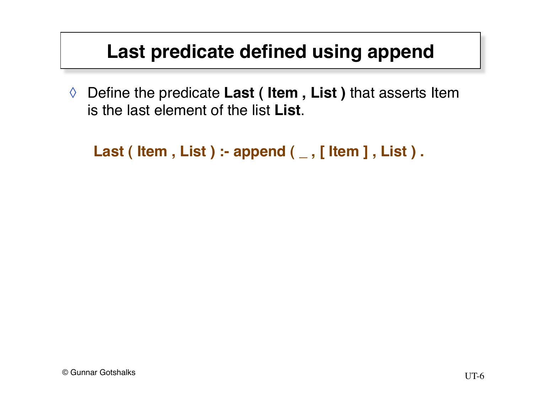#### **Last predicate defined using append**

◊ Define the predicate **Last ( Item , List )** that asserts Item is the last element of the list **List**.

```
Last ( Item , List ) :- append ( \angle , [ Item ] , List ) .
```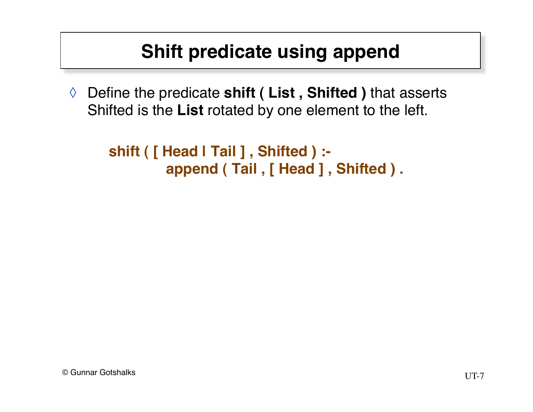#### **Shift predicate using append**

◊ Define the predicate **shift ( List , Shifted )** that asserts Shifted is the **List** rotated by one element to the left.

```
shift ( [ Head | Tail ] , Shifted ) :-
         append ( Tail , [ Head ] , Shifted ) .
```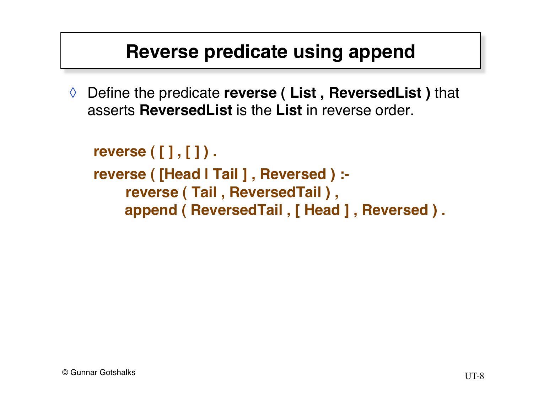#### **Reverse predicate using append**

◊ Define the predicate **reverse ( List , ReversedList )** that asserts **ReversedList** is the **List** in reverse order.

```
reverse ( [ ] , [ ] ) .
reverse ( [Head | Tail ] , Reversed ) :-
      reverse ( Tail , ReversedTail ) ,
      append ( ReversedTail , [ Head ] , Reversed ) .
```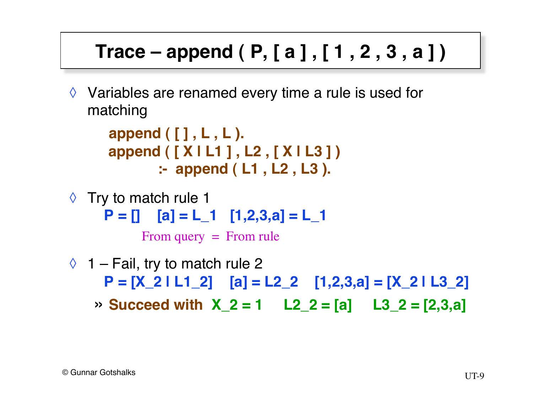### **Trace – append ( P, [ a ] , [ 1 , 2 , 3 , a ] )**

◊ Variables are renamed every time a rule is used for matching

```
append ( [ ] , L , L ). 
append ( [ X | L1 ] , L2 , [ X | L3 ] )
         :- append ( L1 , L2 , L3 ).
```
 $\Diamond$  Try to match rule 1  $P = []$   $[a] = L_1$   $[1,2,3,a] = L_1$ 

From query = From rule

 $\Diamond$  1 – Fail, try to match rule 2 **P = [X\_2 | L1\_2] [a] = L2\_2 [1,2,3,a] = [X\_2 | L3\_2]**  $\rightarrow$  **Succeed with X\_2 = 1 L2\_2 = [a] L3\_2 = [2,3,a]**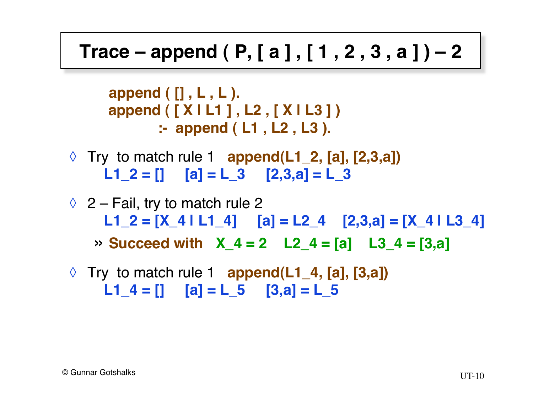#### **Trace – append ( P, [ a ] , [ 1 , 2 , 3 , a ] ) – 2**

**append ( [] , L , L ). append ( [ X | L1 ] , L2 , [ X | L3 ] ) :- append ( L1 , L2 , L3 ).** 

- ◊ Try to match rule 1 **append(L1\_2, [a], [2,3,a])**   $L1_2 = [$   $[a] = L_3$   $[2,3,a] = L_3$
- $\Diamond$  2 Fail, try to match rule 2 L1  $2 = [X_4 | L1_4]$   $[a] = [2_4 [2,3,a] = [X_4 | L3_4]$  $\rightarrow$  **Succeed with X** 4 = 2 L2 4 = [a] L3 4 = [3,a]
- ◊ Try to match rule 1 **append(L1\_4, [a], [3,a])**   $L1_4 = []$   $[a] = L_5$   $[3,a] = L_5$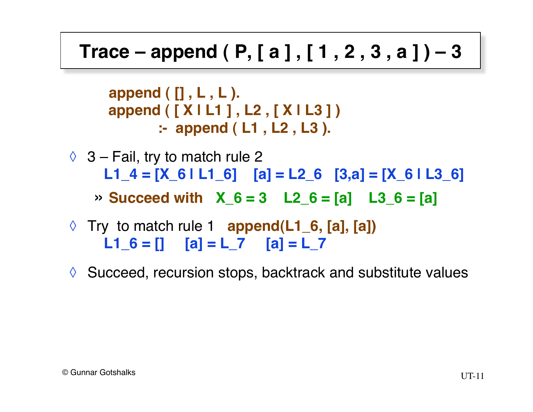#### **Trace – append ( P, [ a ] , [ 1 , 2 , 3 , a ] ) – 3**

**append ( [] , L , L ). append ( [ X | L1 ] , L2 , [ X | L3 ] ) :- append ( L1 , L2 , L3 ).**

 $\Diamond$  3 – Fail, try to match rule 2  **L1\_4 = [X\_6 | L1\_6] [a] = L2\_6 [3,a] = [X\_6 | L3\_6]**

 $\rightarrow$  Succeed with  $\alpha$  6 = 3 L2 6 = [a] L3 6 = [a]

- ◊ Try to match rule 1 **append(L1\_6, [a], [a])**   $L1_6 = []$   $[a] = L_7$   $[a] = L_7$
- ◊ Succeed, recursion stops, backtrack and substitute values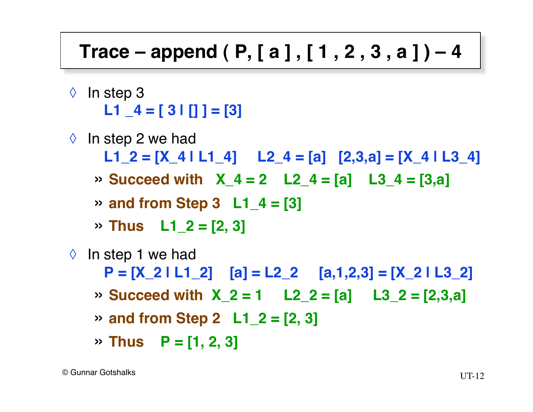#### **Trace – append ( P, [ a ] , [ 1 , 2 , 3 , a ] ) – 4**

- ◊ In step 3 **L1 \_4 = [ 3 | [] ] = [3]**
- $\Diamond$  In step 2 we had  **L1\_2 = [X\_4 | L1\_4] L2\_4 = [a] [2,3,a] = [X\_4 | L3\_4]**  $\rightarrow$  **Succeed with X\_4 = 2 L2\_4 = [a] L3\_4 = [3,a]** » **and from Step 3 L1\_4 = [3]** » **Thus L1\_2 = [2, 3]**  $\Diamond$  In step 1 we had **P = [X\_2 | L1\_2] [a] = L2\_2 [a,1,2,3] = [X\_2 | L3\_2]**  $\rightarrow$  **Succeed with X\_2 = 1 L2\_2 = [a] L3\_2 = [2,3,a]** » **and from Step 2 L1\_2 = [2, 3]** » **Thus P = [1, 2, 3]**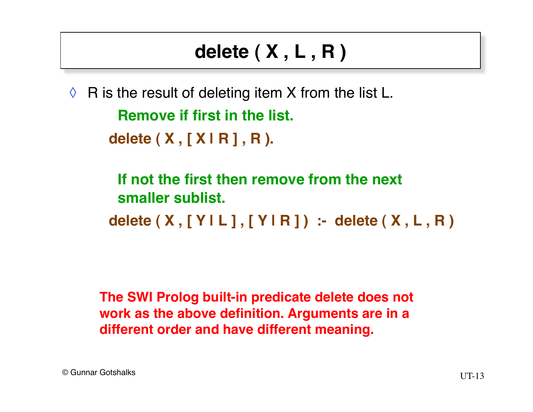### **delete ( X , L , R )**

 $\Diamond$  R is the result of deleting item X from the list L.

**Remove if first in the list.**

**delete ( X , [ X | R ] , R ).**

**If not the first then remove from the next smaller sublist.**

**delete ( X , [ Y | L ] , [ Y | R ] ) :- delete ( X , L , R )**

**The SWI Prolog built-in predicate delete does not work as the above definition. Arguments are in a different order and have different meaning.**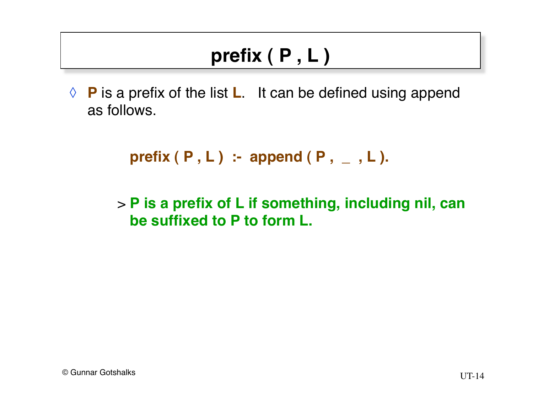## **prefix ( P , L )**

◊ **P** is a prefix of the list **L**. It can be defined using append as follows.

```
prefix ( P , L ) :- append ( P , _ , L ).
```
> **P is a prefix of L if something, including nil, can be suffixed to P to form L.**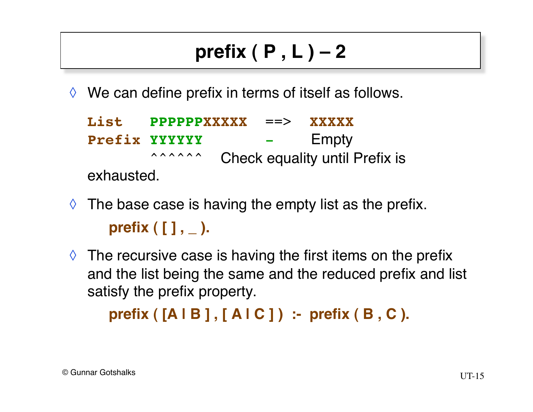# **prefix ( P , L ) – 2**

 $\Diamond$  We can define prefix in terms of itself as follows.

**List PPPPPPXXXXX** ==> **XXXXX Prefix YYYYYY** - Empty <sup>2222</sup>224 Check equality until Prefix is exhausted.

- $\Diamond$  The base case is having the empty list as the prefix. **prefix ( [ ] , \_ ).**
- $\Diamond$  The recursive case is having the first items on the prefix and the list being the same and the reduced prefix and list satisfy the prefix property.

```
prefix ( [A | B ] , [ A | C ] ) :- prefix ( B , C ).
```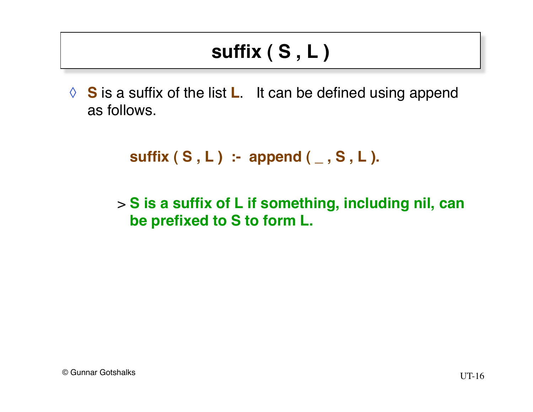## **suffix ( S , L )**

◊ **S** is a suffix of the list **L**. It can be defined using append as follows.

```
suffix (S, L) :- append (, S, L).
```
> **S is a suffix of L if something, including nil, can be prefixed to S to form L.**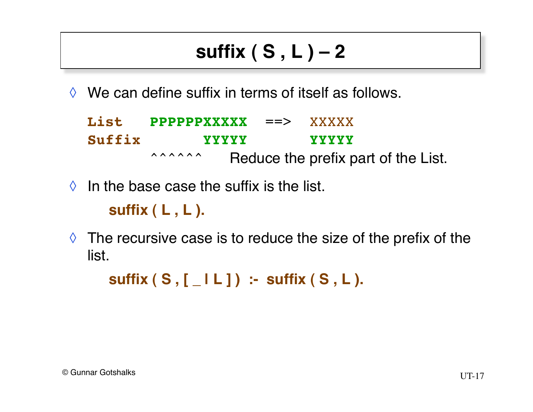# **suffix ( S , L ) – 2**

 $\Diamond$  We can define suffix in terms of itself as follows.

|        | List PPPPPPXXXXX ==> XXXXX |  |                                     |
|--------|----------------------------|--|-------------------------------------|
| Suffix | <b>XXXXX</b>               |  | <b>YYYYY</b>                        |
|        | <b>AAAAAA</b>              |  | Reduce the prefix part of the List. |

 $\Diamond$  In the base case the suffix is the list.

**suffix ( L , L ).**

 $\Diamond$  The recursive case is to reduce the size of the prefix of the list.

**suffix ( S , [ \_ | L ] ) :- suffix ( S , L ).**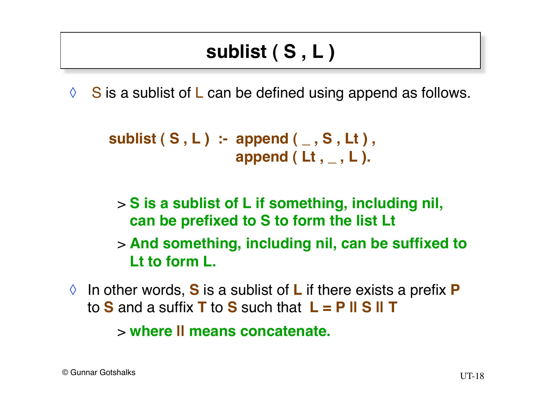## **sublist ( S , L )**

 $\Diamond$  S is a sublist of L can be defined using append as follows.

```
sublist ( S , L ) :- append ( _ , S , Lt ) ,
                      append ( Lt , _ , L ).
```
> **S is a sublist of L if something, including nil, can be prefixed to S to form the list Lt**

> **And something, including nil, can be suffixed to Lt to form L.**

◊ In other words, **S** is a sublist of **L** if there exists a prefix **P** to **S** and a suffix **T** to **S** such that **L = P || S || T**

> **where || means concatenate.**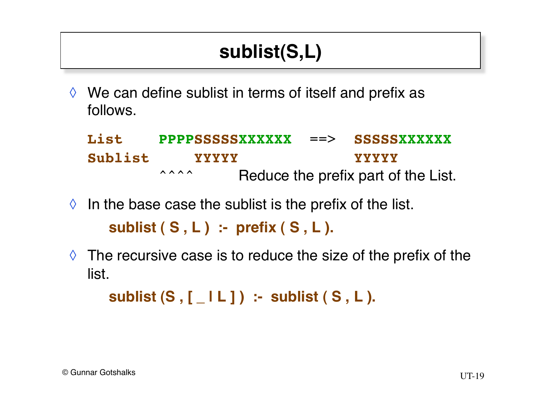## **sublist(S,L)**

 $\Diamond$  We can define sublist in terms of itself and prefix as follows.

**List PPPPSSSSSXXXXXX** ==> **SSSSSXXXXXX Sublist YYYYY YYYYY** <sup>222</sup> Arr Reduce the prefix part of the List.

- $\Diamond$  In the base case the sublist is the prefix of the list. **sublist ( S , L ) :- prefix ( S , L ).**
- $\Diamond$  The recursive case is to reduce the size of the prefix of the list.

**sublist (S , [ \_ | L ] ) :- sublist ( S , L ).**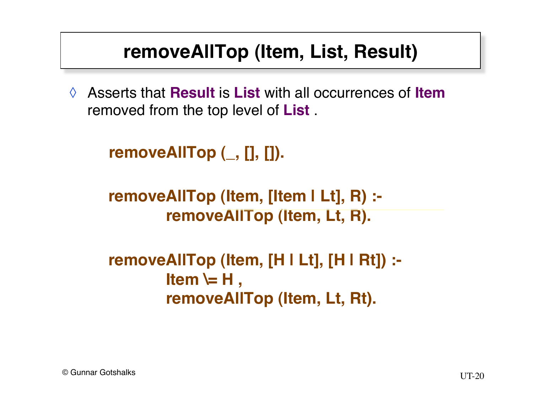#### **removeAllTop (Item, List, Result)**

◊ Asserts that **Result** is **List** with all occurrences of **Item** removed from the top level of **List** .

```
removeAllTop (_, [], []).
```

```
removeAllTop (Item, [Item | Lt], R) :-
       removeAllTop (Item, Lt, R).
```

```
removeAllTop (Item, [H | Lt], [H | Rt]) :-
        Item \equiv H,
        removeAllTop (Item, Lt, Rt).
```